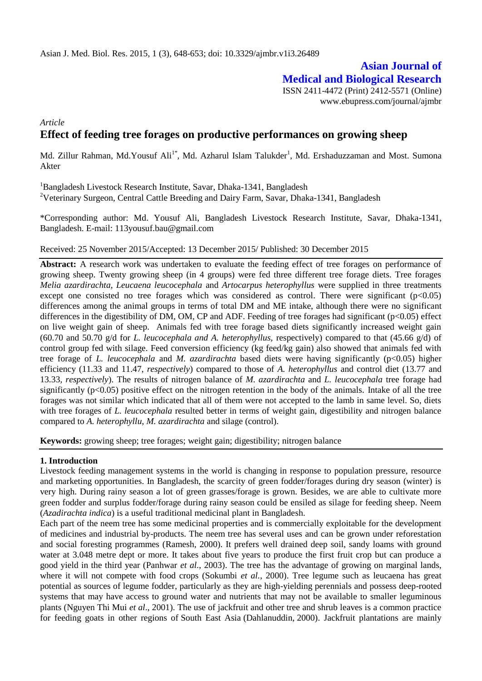# **Asian Journal of Medical and Biological Research**

ISSN 2411-4472 (Print) 2412-5571 (Online) www.ebupress.com/journal/ajmbr

*Article*

# **Effect of feeding tree forages on productive performances on growing sheep**

Md. Zillur Rahman, Md.Yousuf Ali<sup>1\*</sup>, Md. Azharul Islam Talukder<sup>1</sup>, Md. Ershaduzzaman and Most. Sumona Akter

<sup>1</sup>Bangladesh Livestock Research Institute, Savar, Dhaka-1341, Bangladesh <sup>2</sup>Veterinary Surgeon, Central Cattle Breeding and Dairy Farm, Savar, Dhaka-1341, Bangladesh

\*Corresponding author: Md. Yousuf Ali, Bangladesh Livestock Research Institute, Savar, Dhaka-1341, Bangladesh. E-mail: 113yousuf.bau@gmail.com

#### Received: 25 November 2015/Accepted: 13 December 2015/ Published: 30 December 2015

**Abstract:** A research work was undertaken to evaluate the feeding effect of tree forages on performance of growing sheep. Twenty growing sheep (in 4 groups) were fed three different tree forage diets. Tree forages *Melia azardirachta, Leucaena leucocephala* and *Artocarpus heterophyllus* were supplied in three treatments except one consisted no tree forages which was considered as control. There were significant  $(p<0.05)$ differences among the animal groups in terms of total DM and ME intake, although there were no significant differences in the digestibility of DM, OM, CP and ADF. Feeding of tree forages had significant (p<0.05) effect on live weight gain of sheep. Animals fed with tree forage based diets significantly increased weight gain (60.70 and 50.70 g/d for *L. leucocephala and A. heterophyllus,* respectively) compared to that (45.66 g/d) of control group fed with silage. Feed conversion efficiency (kg feed/kg gain) also showed that animals fed with tree forage of *L. leucocephala* and *M. azardirachta* based diets were having significantly (p<0.05) higher efficiency (11.33 and 11.47, *respectively*) compared to those of *A. heterophyllus* and control diet (13.77 and 13.33*, respectively*). The results of nitrogen balance of *M. azardirachta* and *L. leucocephala* tree forage had significantly ( $p<0.05$ ) positive effect on the nitrogen retention in the body of the animals. Intake of all the tree forages was not similar which indicated that all of them were not accepted to the lamb in same level. So, diets with tree forages of *L. leucocephala* resulted better in terms of weight gain, digestibility and nitrogen balance compared to *A. heterophyllu, M. azardirachta* and silage (control).

**Keywords:** growing sheep; tree forages; weight gain; digestibility; nitrogen balance

#### **1. Introduction**

Livestock feeding management systems in the world is changing in response to population pressure, resource and marketing opportunities. In Bangladesh, the scarcity of green fodder/forages during dry season (winter) is very high. During rainy season a lot of green grasses/forage is grown. Besides, we are able to cultivate more green fodder and surplus fodder/forage during rainy season could be ensiled as silage for feeding sheep. Neem (*Azadirachta indica*) is a useful traditional medicinal plant in Bangladesh.

Each part of the neem tree has some medicinal properties and is commercially exploitable for the development of medicines and industrial by-products. The neem tree has several uses and can be grown under reforestation and social foresting programmes (Ramesh, 2000). It prefers well drained deep soil, sandy loams with ground water at 3.048 metre dept or more. It takes about five years to produce the first fruit crop but can produce a good yield in the third year (Panhwar *et al.*, 2003). The tree has the advantage of growing on marginal lands, where it will not compete with food crops (Sokumbi *et al.*, 2000). Tree legume such as leucaena has great potential as sources of legume fodder, particularly as they are high-yielding perennials and possess deep-rooted systems that may have access to ground water and nutrients that may not be available to smaller leguminous plants (Nguyen Thi Mui *et al*., 2001). The use of jackfruit and other tree and shrub leaves is a common practice for feeding goats in other regions of South East Asia (Dahlanuddin, 2000). Jackfruit plantations are mainly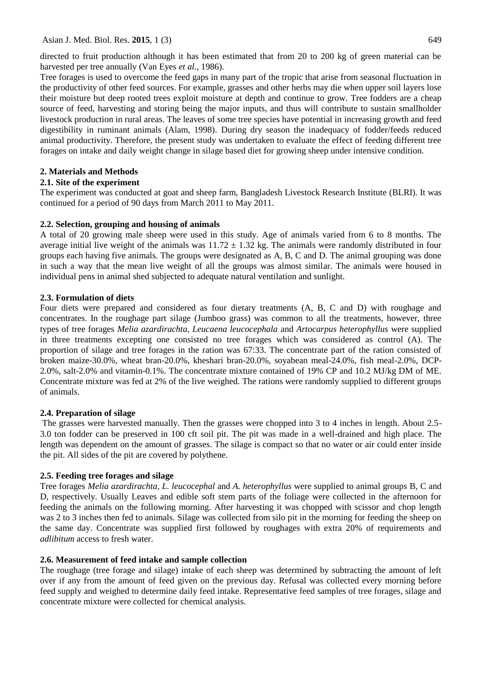Asian J. Med. Biol. Res. **2015**, 1 (3) 649

directed to fruit production although it has been estimated that from 20 to 200 kg of green material can be harvested per tree annually (Van Eyes *et al.,* 1986).

Tree forages is used to overcome the feed gaps in many part of the tropic that arise from seasonal fluctuation in the productivity of other feed sources. For example, grasses and other herbs may die when upper soil layers lose their moisture but deep rooted trees exploit moisture at depth and continue to grow. Tree fodders are a cheap source of feed, harvesting and storing being the major inputs, and thus will contribute to sustain smallholder livestock production in rural areas. The leaves of some tree species have potential in increasing growth and feed digestibility in ruminant animals (Alam, 1998). During dry season the inadequacy of fodder/feeds reduced animal productivity. Therefore, the present study was undertaken to evaluate the effect of feeding different tree forages on intake and daily weight change in silage based diet for growing sheep under intensive condition.

# **2. Materials and Methods**

# **2.1. Site of the experiment**

The experiment was conducted at goat and sheep farm, Bangladesh Livestock Research Institute (BLRI). It was continued for a period of 90 days from March 2011 to May 2011.

# **2.2. Selection, grouping and housing of animals**

A total of 20 growing male sheep were used in this study. Age of animals varied from 6 to 8 months. The average initial live weight of the animals was  $11.72 \pm 1.32$  kg. The animals were randomly distributed in four groups each having five animals. The groups were designated as A, B, C and D. The animal grouping was done in such a way that the mean live weight of all the groups was almost similar. The animals were housed in individual pens in animal shed subjected to adequate natural ventilation and sunlight.

# **2.3. Formulation of diets**

Four diets were prepared and considered as four dietary treatments (A, B, C and D) with roughage and concentrates. In the roughage part silage (Jumboo grass) was common to all the treatments, however, three types of tree forages *Melia azardirachta, Leucaena leucocephala* and *Artocarpus heterophyllus* were supplied in three treatments excepting one consisted no tree forages which was considered as control (A). The proportion of silage and tree forages in the ration was 67:33. The concentrate part of the ration consisted of broken maize-30.0%, wheat bran-20.0%, kheshari bran-20.0%, soyabean meal-24.0%, fish meal-2.0%, DCP-2.0%, salt-2.0% and vitamin-0.1%. The concentrate mixture contained of 19% CP and 10.2 MJ/kg DM of ME. Concentrate mixture was fed at 2% of the live weighed. The rations were randomly supplied to different groups of animals.

#### **2.4. Preparation of silage**

The grasses were harvested manually. Then the grasses were chopped into 3 to 4 inches in length. About 2.5- 3.0 ton fodder can be preserved in 100 cft soil pit. The pit was made in a well-drained and high place. The length was dependent on the amount of grasses. The silage is compact so that no water or air could enter inside the pit. All sides of the pit are covered by polythene.

# **2.5. Feeding tree forages and silage**

Tree forages *Melia azardirachta*, *L. leucocephal* and *A. heterophyllus* were supplied to animal groups B, C and D, respectively. Usually Leaves and edible soft stem parts of the foliage were collected in the afternoon for feeding the animals on the following morning. After harvesting it was chopped with scissor and chop length was 2 to 3 inches then fed to animals. Silage was collected from silo pit in the morning for feeding the sheep on the same day. Concentrate was supplied first followed by roughages with extra 20% of requirements and *adlibitum* access to fresh water.

# **2.6. Measurement of feed intake and sample collection**

The roughage (tree forage and silage) intake of each sheep was determined by subtracting the amount of left over if any from the amount of feed given on the previous day. Refusal was collected every morning before feed supply and weighed to determine daily feed intake. Representative feed samples of tree forages, silage and concentrate mixture were collected for chemical analysis.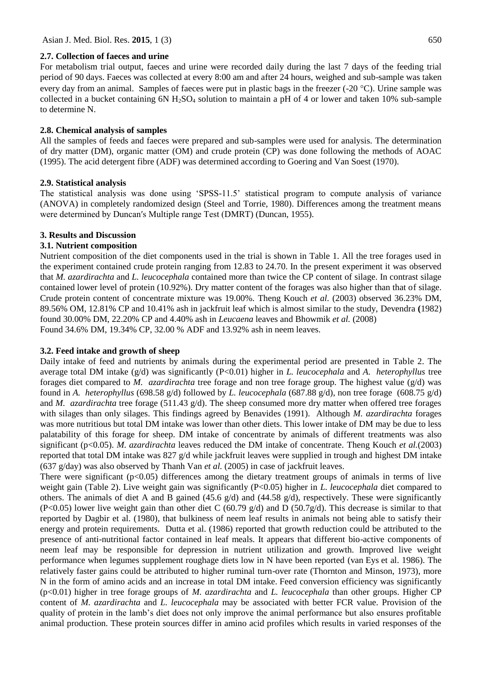#### **2.7. Collection of faeces and urine**

For metabolism trial output, faeces and urine were recorded daily during the last 7 days of the feeding trial period of 90 days. Faeces was collected at every 8:00 am and after 24 hours, weighed and sub-sample was taken every day from an animal. Samples of faeces were put in plastic bags in the freezer (-20 °C). Urine sample was collected in a bucket containing  $6N H_2SO_4$  solution to maintain a pH of 4 or lower and taken 10% sub-sample to determine N.

# **2.8. Chemical analysis of samples**

All the samples of feeds and faeces were prepared and sub-samples were used for analysis. The determination of dry matter (DM), organic matter (OM) and crude protein (CP) was done following the methods of AOAC (1995). The acid detergent fibre (ADF) was determined according to Goering and Van Soest (1970).

# **2.9. Statistical analysis**

The statistical analysis was done using 'SPSS-11.5' statistical program to compute analysis of variance (ANOVA) in completely randomized design (Steel and Torrie, 1980). Differences among the treatment means were determined by Duncan′s Multiple range Test (DMRT) (Duncan, 1955).

# **3. Results and Discussion**

# **3.1. Nutrient composition**

Nutrient composition of the diet components used in the trial is shown in Table 1. All the tree forages used in the experiment contained crude protein ranging from 12.83 to 24.70. In the present experiment it was observed that *M. azardirachta* and *L. leucocephala* contained more than twice the CP content of silage. In contrast silage contained lower level of protein (10.92%). Dry matter content of the forages was also higher than that of silage. Crude protein content of concentrate mixture was 19.00%. Theng Kouch *et al.* (2003) observed 36.23% DM, 89.56% OM, 12.81% CP and 10.41% ash in jackfruit leaf which is almost similar to the study, Devendra **(**1982) found 30.00% DM, 22.20% CP and 4.40% ash in *Leucaena* leaves and Bhowmik *et al.* (2008) Found 34.6% DM, 19.34% CP, 32.00 % ADF and 13.92% ash in neem leaves.

#### **3.2. Feed intake and growth of sheep**

Daily intake of feed and nutrients by animals during the experimental period are presented in Table 2. The average total DM intake (g/d) was significantly (P<0.01) higher in *L. leucocephala* and *A. heterophyllus* tree forages diet compared to *M. azardirachta* tree forage and non tree forage group. The highest value (g/d) was found in *A. heterophyllus* (698.58 g/d) followed by *L. leucocephala* (687.88 g/d), non tree forage (608.75 g/d) and *M. azardirachta* tree forage (511.43 g/d). The sheep consumed more dry matter when offered tree forages with silages than only silages. This findings agreed by Benavides (1991). Although *M. azardirachta* forages was more nutritious but total DM intake was lower than other diets. This lower intake of DM may be due to less palatability of this forage for sheep. DM intake of concentrate by animals of different treatments was also significant (p<0.05). *M. azardirachta* leaves reduced the DM intake of concentrate. Theng Kouch *et al.*(2003) reported that total DM intake was 827 g/d while jackfruit leaves were supplied in trough and highest DM intake (637 g/day) was also observed by [Thanh Van](http://www.sciencedirect.com/science/article/pii/S0377840104002676) *et al.* (2005) in case of jackfruit leaves.

There were significant  $(p<0.05)$  differences among the dietary treatment groups of animals in terms of live weight gain (Table 2). Live weight gain was significantly (P<0.05) higher in *L. leucocephala* diet compared to others. The animals of diet A and B gained (45.6 g/d) and (44.58 g/d), respectively. These were significantly (P<0.05) lower live weight gain than other diet C (60.79 g/d) and D (50.7g/d). This decrease is similar to that reported by Dagbir et al. (1980), that bulkiness of neem leaf results in animals not being able to satisfy their energy and protein requirements. Dutta et al. (1986) reported that growth reduction could be attributed to the presence of anti-nutritional factor contained in leaf meals. It appears that different bio-active components of neem leaf may be responsible for depression in nutrient utilization and growth. Improved live weight performance when legumes supplement roughage diets low in N have been reported (van Eys et al. 1986). The relatively faster gains could be attributed to higher ruminal turn-over rate (Thornton and Minson, 1973), more N in the form of amino acids and an increase in total DM intake. Feed conversion efficiency was significantly (p<0.01) higher in tree forage groups of *M. azardirachta* and *L. leucocephala* than other groups. Higher CP content of *M. azardirachta* and *L. leucocephala* may be associated with better FCR value. Provision of the quality of protein in the lamb's diet does not only improve the animal performance but also ensures profitable animal production. These protein sources differ in amino acid profiles which results in varied responses of the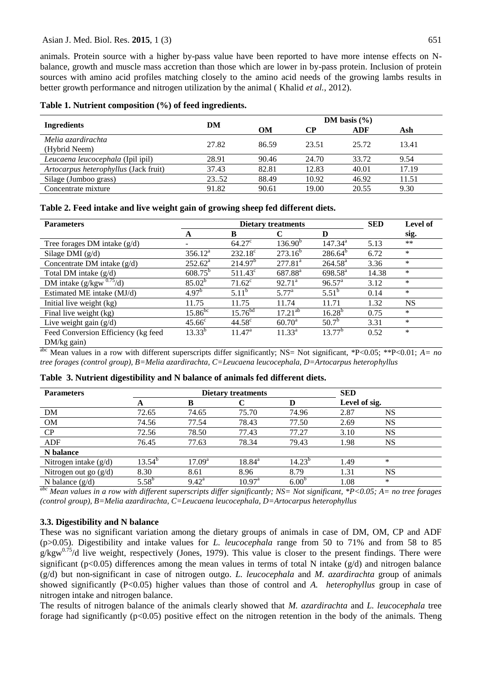animals. Protein source with a higher by-pass value have been reported to have more intense effects on Nbalance, growth and muscle mass accretion than those which are lower in by-pass protein. Inclusion of protein sources with amino acid profiles matching closely to the amino acid needs of the growing lambs results in better growth performance and nitrogen utilization by the animal ( Khalid *et al.*, 2012).

|  |  |  |  |  | Table 1. Nutrient composition (%) of feed ingredients. |  |
|--|--|--|--|--|--------------------------------------------------------|--|
|--|--|--|--|--|--------------------------------------------------------|--|

|                                       |       | DM basis $(\% )$ |           |       |       |  |
|---------------------------------------|-------|------------------|-----------|-------|-------|--|
| <b>Ingredients</b>                    | DM    | OМ               | CР<br>ADF |       | Ash   |  |
| Melia azardirachta<br>(Hybrid Neem)   | 27.82 | 86.59            | 23.51     | 25.72 | 13.41 |  |
| Leucaena leucocephala (Ipil ipil)     | 28.91 | 90.46            | 24.70     | 33.72 | 9.54  |  |
| Artocarpus heterophyllus (Jack fruit) | 37.43 | 82.81            | 12.83     | 40.01 | 17.19 |  |
| Silage (Jumboo grass)                 | 23.52 | 88.49            | 10.92     | 46.92 | 11.51 |  |
| Concentrate mixture                   | 91.82 | 90.61            | 19.00     | 20.55 | 9.30  |  |

#### **Table 2. Feed intake and live weight gain of growing sheep fed different diets.**

| <b>Parameters</b>                   |                    | <b>SED</b>          | <b>Level of</b>     |                    |       |           |
|-------------------------------------|--------------------|---------------------|---------------------|--------------------|-------|-----------|
|                                     | A                  | B                   |                     | D                  |       | sig.      |
| Tree forages DM intake $(g/d)$      |                    | $64.27^{\circ}$     | 136.90 <sup>b</sup> | $147.34^a$         | 5.13  | $***$     |
| Silage DMI $(g/d)$                  | $356.12^a$         | $232.18^c$          | $273.16^{b}$        | $286.64^{b}$       | 6.72  | $\ast$    |
| Concentrate DM intake $(g/d)$       | $252.62^{\rm a}$   | 214.97 <sup>b</sup> | $277.81^{a}$        | $264.58^{\rm a}$   | 3.36  | $\ast$    |
| Total DM intake $(g/d)$             | $608.75^{b}$       | $511.43^c$          | 687.88 <sup>a</sup> | $698.58^{\rm a}$   | 14.38 | $\ast$    |
| DM intake $(g/kgw^{0.75}/d)$        | $85.02^{b}$        | $71.62^{\circ}$     | $92.71^a$           | $96.57^{\text{a}}$ | 3.12  | $\ast$    |
| Estimated ME intake (MJ/d)          | 4.97 <sup>b</sup>  | $5.11^b$            | $5.77^{\rm a}$      | $5.51^b$           | 0.14  | $\ast$    |
| Initial live weight (kg)            | 11.75              | 11.75               | 11.74               | 11.71              | 1.32  | <b>NS</b> |
| Final live weight (kg)              | $15.86^{bc}$       | $15.76^{bd}$        | $17.21^{ab}$        | $16.28^{b}$        | 0.75  | $\ast$    |
| Live weight gain $(g/d)$            | 45.66 <sup>c</sup> | $44.58^{\circ}$     | $60.70^{\rm a}$     | $50.7^{\rm b}$     | 3.31  | $\ast$    |
| Feed Conversion Efficiency (kg feed | $13.33^{b}$        | $11.47^{\circ}$     | $11.33^{a}$         | $13.77^{b}$        | 0.52  | $\ast$    |
| $DM/kg$ gain)                       |                    |                     |                     |                    |       |           |

abc Mean values in a row with different superscripts differ significantly; NS= Not significant, \*P<0.05; \*\*P<0.01; *A= no tree forages (control group), B=Melia azardirachta, C=Leucaena leucocephala, D=Artocarpus heterophyllus*

| <b>Parameters</b>       |             | <b>Dietary treatments</b> | <b>SED</b>         |                   |               |           |  |
|-------------------------|-------------|---------------------------|--------------------|-------------------|---------------|-----------|--|
|                         | A           | в                         |                    |                   | Level of sig. |           |  |
| DM                      | 72.65       | 74.65                     | 75.70              | 74.96             | 2.87          | <b>NS</b> |  |
| <b>OM</b>               | 74.56       | 77.54                     | 78.43              | 77.50             | 2.69          | <b>NS</b> |  |
| CP                      | 72.56       | 78.50                     | 77.43              | 77.27             | 3.10          | NS        |  |
| ADF                     | 76.45       | 77.63                     | 78.34              | 79.43             | 1.98          | NS        |  |
| N balance               |             |                           |                    |                   |               |           |  |
| Nitrogen intake $(g/d)$ | $13.54^{b}$ | 17.09 <sup>a</sup>        | $18.84^{\rm a}$    | $14.23^{b}$       | 1.49          | *         |  |
| Nitrogen out go $(g/d)$ | 8.30        | 8.61                      | 8.96               | 8.79              | 1.31          | NS        |  |
| N balance $(g/d)$       | $5.58^{b}$  | $9.42^{\rm a}$            | $10.97^{\text{a}}$ | 6.00 <sup>b</sup> | 1.08          | *         |  |

*abc Mean values in a row with different superscripts differ significantly; NS= Not significant, \*P<0.05; A= no tree forages (control group), B=Melia azardirachta, C=Leucaena leucocephala, D=Artocarpus heterophyllus*

#### **3.3. Digestibility and N balance**

These was no significant variation among the dietary groups of animals in case of DM, OM, CP and ADF (p>0.05). Digestibility and intake values for *L. leucocephala* range from 50 to 71% and from 58 to 85  $g/kgw^{0.75}/d$  live weight, respectively (Jones, 1979). This value is closer to the present findings. There were significant ( $p<0.05$ ) differences among the mean values in terms of total N intake ( $g/d$ ) and nitrogen balance (g/d) but non-significant in case of nitrogen outgo. *L. leucocephala* and *M. azardirachta* group of animals showed significantly (P<0.05) higher values than those of control and *A. heterophyllus* group in case of nitrogen intake and nitrogen balance.

The results of nitrogen balance of the animals clearly showed that *M. azardirachta* and *L. leucocephala* tree forage had significantly (p<0.05) positive effect on the nitrogen retention in the body of the animals. Theng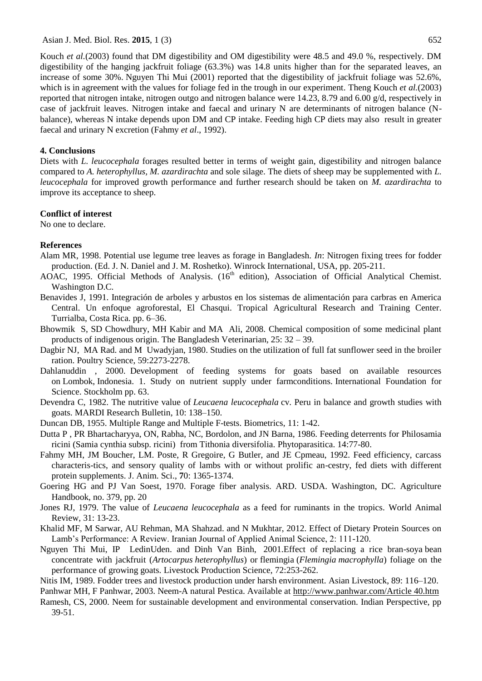Kouch *et al.*(2003) found that DM digestibility and OM digestibility were 48.5 and 49.0 %, respectively. DM digestibility of the hanging jackfruit foliage (63.3%) was 14.8 units higher than for the separated leaves, an increase of some 30%. Nguyen Thi Mui (2001) reported that the digestibility of jackfruit foliage was 52.6%, which is in agreement with the values for foliage fed in the trough in our experiment. Theng Kouch *et al.*(2003) reported that nitrogen intake, nitrogen outgo and nitrogen balance were 14.23, 8.79 and 6.00 g/d, respectively in case of jackfruit leaves. Nitrogen intake and faecal and urinary N are determinants of nitrogen balance (Nbalance), whereas N intake depends upon DM and CP intake. Feeding high CP diets may also result in greater faecal and urinary N excretion (Fahmy *et al*., 1992).

#### **4. Conclusions**

Diets with *L. leucocephala* forages resulted better in terms of weight gain, digestibility and nitrogen balance compared to *A. heterophyllus, M. azardirachta* and sole silage. The diets of sheep may be supplemented with *L. leucocephala* for improved growth performance and further research should be taken on *M. azardirachta* to improve its acceptance to sheep.

#### **Conflict of interest**

No one to declare.

#### **References**

- Alam MR, 1998. Potential use legume tree leaves as forage in Bangladesh. *In*: Nitrogen fixing trees for fodder production. (Ed. J. N. Daniel and J. M. Roshetko). Winrock International, USA, pp. 205-211.
- AOAC, 1995. Official Methods of Analysis. (16<sup>th</sup> edition), Association of Official Analytical Chemist. Washington D.C.
- Benavides J, 1991. Integración de arboles y arbustos en los sistemas de alimentación para carbras en America Central. Un enfoque agroforestal, El Chasqui. Tropical Agricultural Research and Training Center. Turrialba, Costa Rica. pp. 6–36.
- Bhowmik S, SD Chowdhury, MH Kabir and MA Ali, 2008. Chemical composition of some medicinal plant products of indigenous origin. The Bangladesh Veterinarian, 25: 32 – 39.
- Dagbir NJ, MA Rad. and M Uwadyjan, 1980. Studies on the utilization of full fat sunflower seed in the broiler ration. Poultry Science, 59:2273-2278.
- Dahlanuddin , 2000. Development of feeding systems for goats based on available resources on Lombok, Indonesia. 1. Study on nutrient supply under farmconditions. International Foundation for Science. Stockholm pp. 63.
- Devendra C, 1982. The nutritive value of *Leucaena leucocephala* cv. Peru in balance and growth studies with goats. MARDI Research Bulletin*,* 10: 138–150.
- Duncan DB, 1955. Multiple Range and Multiple F-tests. Biometrics, 11: 1-42.
- Dutta P , PR Bhartacharyya, ON, Rabha, NC, Bordolon, and JN Barna, 1986. Feeding deterrents for Philosamia ricini (Samia cynthia subsp. ricini) from Tithonia diversifolia. Phytoparasitica. 14:77-80.
- Fahmy MH, JM Boucher, LM. Poste, R Gregoire, G Butler, and JE Cpmeau, 1992. Feed efficiency, carcass characteris-tics, and sensory quality of lambs with or without prolific an-cestry, fed diets with different protein supplements. J. Anim. Sci., **7**0: 1365-1374.
- Goering HG and PJ Van Soest, 1970. Forage fiber analysis. ARD. USDA. Washington, DC. Agriculture Handbook, no. 379, pp. 20
- Jones RJ, 1979. The value of *Leucaena leucocephala* as a feed for ruminants in the tropics. World Animal Review, 31: 13-23.
- Khalid MF, M Sarwar, AU Rehman, MA Shahzad. and N Mukhtar, 2012. Effect of Dietary Protein Sources on Lamb's Performance: A Review. Iranian Journal of Applied Animal Science, 2: 111-120.
- Nguyen Thi Mui, IP LedinUden. and Dinh Van Binh, 2001.Effect of replacing a rice bran-soya bean concentrate with jackfruit (*Artocarpus heterophyllus*) or flemingia (*Flemingia macrophylla*) foliage on the performance of growing goats. Livestock Production Science, 72:253-262.
- Nitis IM, 1989. Fodder trees and livestock production under harsh environment. Asian Livestock, 89: 116–120.
- Panhwar MH, F Panhwar, 2003. Neem-A natural Pestica. Available at [http://www.panhwar.com/Article 40.htm](http://www.panhwar.com/Article%2040.htm)
- Ramesh, CS, 2000. Neem for sustainable development and environmental conservation. Indian Perspective, pp 39-51.